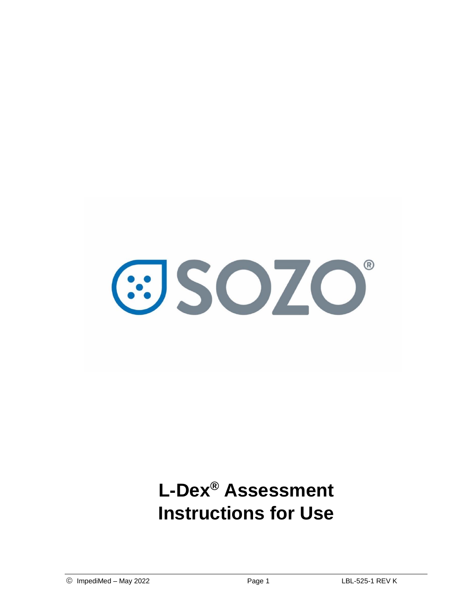

# **L-Dex® Assessment Instructions for Use**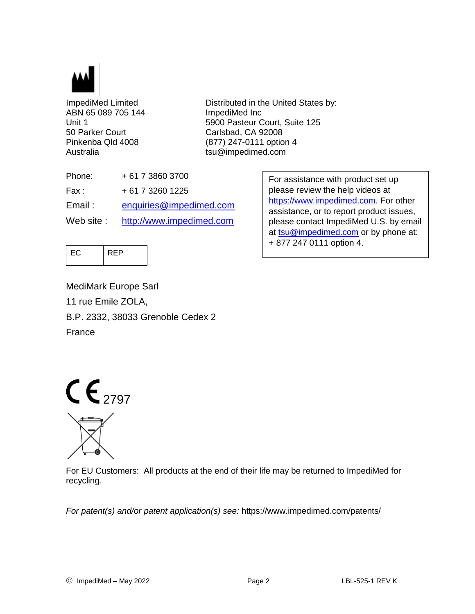

ABN 65 089 705 144 ImpediMed Inc 50 Parker Court Carlsbad, CA 92008 Australia tsu@impedimed.com

ImpediMed Limited **Distributed in the United States by:** Unit 1 5900 Pasteur Court, Suite 125 Pinkenba Qld 4008 (877) 247-0111 option 4

| + 61 7 3860 3700         |
|--------------------------|
| $+61732601225$           |
| enquiries@impedimed.com  |
| http://www.impedimed.com |
|                          |

For assistance with product set up please review the help videos at [https://www.impedimed.com.](https://www.impedimed.com/) For other assistance, or to report product issues, please contact ImpediMed U.S. by email at [tsu@impedimed.com](mailto:tsu@impedimed.com) or by phone at: + 877 247 0111 option 4.



MediMark Europe Sarl 11 rue Emile ZOLA, B.P. 2332, 38033 Grenoble Cedex 2 France



For EU Customers: All products at the end of their life may be returned to ImpediMed for recycling.

*For patent(s) and/or patent application(s) see:* https://www.impedimed.com/patents/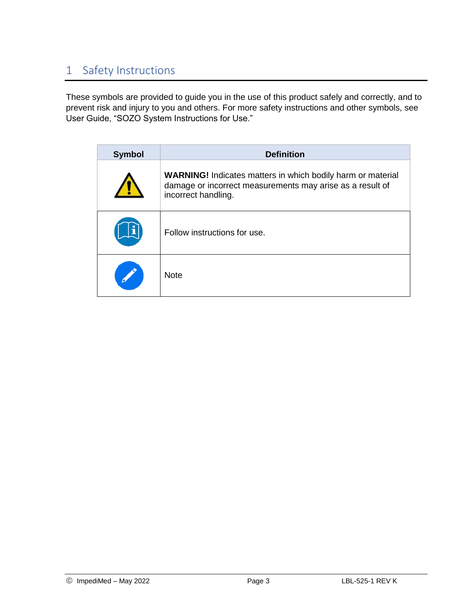# 1 Safety Instructions

These symbols are provided to guide you in the use of this product safely and correctly, and to prevent risk and injury to you and others. For more safety instructions and other symbols, see User Guide, "SOZO System Instructions for Use."

| <b>Symbol</b> | <b>Definition</b>                                                                                                                                      |
|---------------|--------------------------------------------------------------------------------------------------------------------------------------------------------|
|               | <b>WARNING!</b> Indicates matters in which bodily harm or material<br>damage or incorrect measurements may arise as a result of<br>incorrect handling. |
|               | Follow instructions for use.                                                                                                                           |
|               | <b>Note</b>                                                                                                                                            |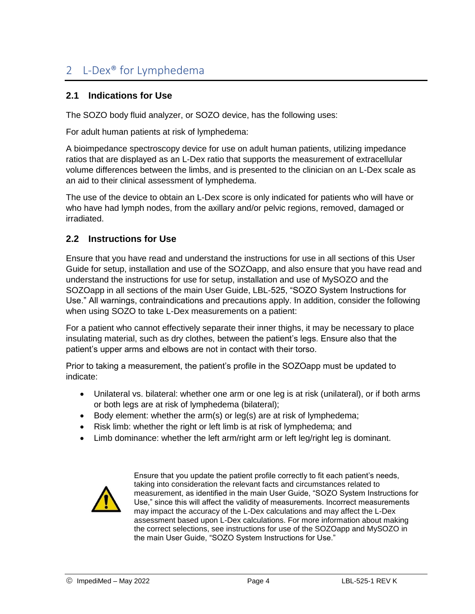# 2 L-Dex® for Lymphedema

# **2.1 Indications for Use**

The SOZO body fluid analyzer, or SOZO device, has the following uses:

For adult human patients at risk of lymphedema:

A bioimpedance spectroscopy device for use on adult human patients, utilizing impedance ratios that are displayed as an L-Dex ratio that supports the measurement of extracellular volume differences between the limbs, and is presented to the clinician on an L-Dex scale as an aid to their clinical assessment of lymphedema.

The use of the device to obtain an L-Dex score is only indicated for patients who will have or who have had lymph nodes, from the axillary and/or pelvic regions, removed, damaged or irradiated.

## **2.2 Instructions for Use**

Ensure that you have read and understand the instructions for use in all sections of this User Guide for setup, installation and use of the SOZOapp, and also ensure that you have read and understand the instructions for use for setup, installation and use of MySOZO and the SOZOapp in all sections of the main User Guide, LBL-525, "SOZO System Instructions for Use." All warnings, contraindications and precautions apply. In addition, consider the following when using SOZO to take L-Dex measurements on a patient:

For a patient who cannot effectively separate their inner thighs, it may be necessary to place insulating material, such as dry clothes, between the patient's legs. Ensure also that the patient's upper arms and elbows are not in contact with their torso.

Prior to taking a measurement, the patient's profile in the SOZOapp must be updated to indicate:

- Unilateral vs. bilateral: whether one arm or one leg is at risk (unilateral), or if both arms or both legs are at risk of lymphedema (bilateral);
- $\bullet$  Body element: whether the arm(s) or leg(s) are at risk of lymphedema;
- Risk limb: whether the right or left limb is at risk of lymphedema; and
- Limb dominance: whether the left arm/right arm or left leg/right leg is dominant.



Ensure that you update the patient profile correctly to fit each patient's needs, taking into consideration the relevant facts and circumstances related to measurement, as identified in the main User Guide, "SOZO System Instructions for Use," since this will affect the validity of measurements. Incorrect measurements may impact the accuracy of the L-Dex calculations and may affect the L-Dex assessment based upon L-Dex calculations. For more information about making the correct selections, see instructions for use of the SOZOapp and MySOZO in the main User Guide, "SOZO System Instructions for Use."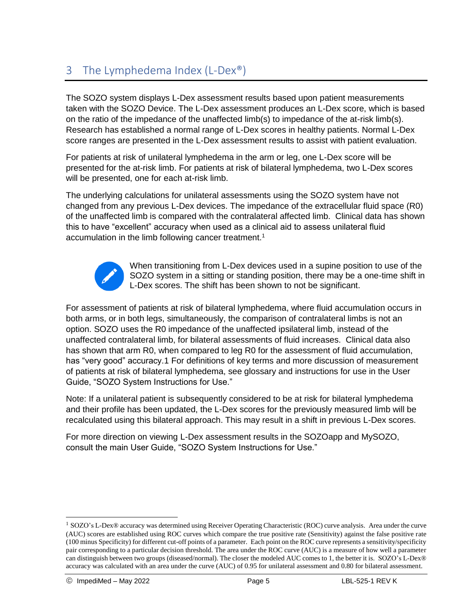# 3 The Lymphedema Index (L-Dex®)

The SOZO system displays L-Dex assessment results based upon patient measurements taken with the SOZO Device. The L-Dex assessment produces an L-Dex score, which is based on the ratio of the impedance of the unaffected limb(s) to impedance of the at-risk limb(s). Research has established a normal range of L-Dex scores in healthy patients. Normal L-Dex score ranges are presented in the L-Dex assessment results to assist with patient evaluation.

For patients at risk of unilateral lymphedema in the arm or leg, one L-Dex score will be presented for the at-risk limb. For patients at risk of bilateral lymphedema, two L-Dex scores will be presented, one for each at-risk limb.

The underlying calculations for unilateral assessments using the SOZO system have not changed from any previous L-Dex devices. The impedance of the extracellular fluid space (R0) of the unaffected limb is compared with the contralateral affected limb. Clinical data has shown this to have "excellent" accuracy when used as a clinical aid to assess unilateral fluid accumulation in the limb following cancer treatment.<sup>1</sup>



When transitioning from L-Dex devices used in a supine position to use of the SOZO system in a sitting or standing position, there may be a one-time shift in L-Dex scores. The shift has been shown to not be significant.

For assessment of patients at risk of bilateral lymphedema, where fluid accumulation occurs in both arms, or in both legs, simultaneously, the comparison of contralateral limbs is not an option. SOZO uses the R0 impedance of the unaffected ipsilateral limb, instead of the unaffected contralateral limb, for bilateral assessments of fluid increases. Clinical data also has shown that arm R0, when compared to leg R0 for the assessment of fluid accumulation, has "very good" accuracy.1 For definitions of key terms and more discussion of measurement of patients at risk of bilateral lymphedema, see glossary and instructions for use in the User Guide, "SOZO System Instructions for Use."

Note: If a unilateral patient is subsequently considered to be at risk for bilateral lymphedema and their profile has been updated, the L-Dex scores for the previously measured limb will be recalculated using this bilateral approach. This may result in a shift in previous L-Dex scores.

For more direction on viewing L-Dex assessment results in the SOZOapp and MySOZO, consult the main User Guide, "SOZO System Instructions for Use."

 $\overline{a}$ 

<sup>1</sup> SOZO's L-Dex® accuracy was determined using Receiver Operating Characteristic (ROC) curve analysis. Area under the curve (AUC) scores are established using ROC curves which compare the true positive rate (Sensitivity) against the false positive rate (100 minus Specificity) for different cut-off points of a parameter. Each point on the ROC curve represents a sensitivity/specificity pair corresponding to a particular decision threshold. The area under the ROC curve (AUC) is a measure of how well a parameter can distinguish between two groups (diseased/normal). The closer the modeled AUC comes to 1, the better it is. SOZO's L-Dex® accuracy was calculated with an area under the curve (AUC) of 0.95 for unilateral assessment and 0.80 for bilateral assessment.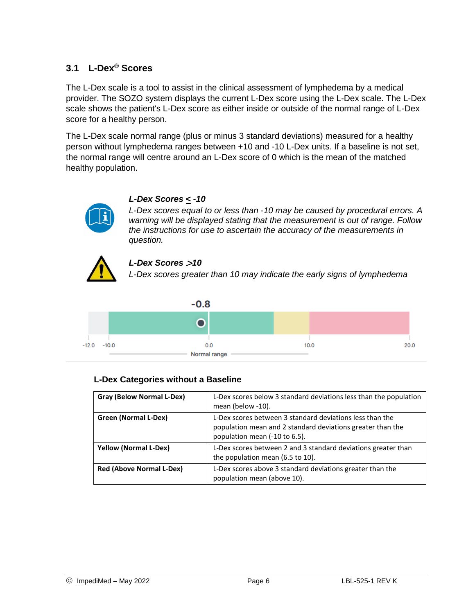# **3.1 L-Dex® Scores**

The L-Dex scale is a tool to assist in the clinical assessment of lymphedema by a medical provider. The SOZO system displays the current L-Dex score using the L-Dex scale. The L-Dex scale shows the patient's L-Dex score as either inside or outside of the normal range of L-Dex score for a healthy person.

The L-Dex scale normal range (plus or minus 3 standard deviations) measured for a healthy person without lymphedema ranges between +10 and -10 L-Dex units. If a baseline is not set, the normal range will centre around an L-Dex score of 0 which is the mean of the matched healthy population.



#### *L-Dex Scores < -10*

*L-Dex scores equal to or less than -10 may be caused by procedural errors. A warning will be displayed stating that the measurement is out of range. Follow the instructions for use to ascertain the accuracy of the measurements in question.*



#### *L-Dex Scores* >*10*

*L-Dex scores greater than 10 may indicate the early signs of lymphedema*



#### **L-Dex Categories without a Baseline**

| Gray (Below Normal L-Dex)       | L-Dex scores below 3 standard deviations less than the population<br>mean (below -10).                                                                  |
|---------------------------------|---------------------------------------------------------------------------------------------------------------------------------------------------------|
| Green (Normal L-Dex)            | L-Dex scores between 3 standard deviations less than the<br>population mean and 2 standard deviations greater than the<br>population mean (-10 to 6.5). |
| <b>Yellow (Normal L-Dex)</b>    | L-Dex scores between 2 and 3 standard deviations greater than<br>the population mean (6.5 to 10).                                                       |
| <b>Red (Above Normal L-Dex)</b> | L-Dex scores above 3 standard deviations greater than the<br>population mean (above 10).                                                                |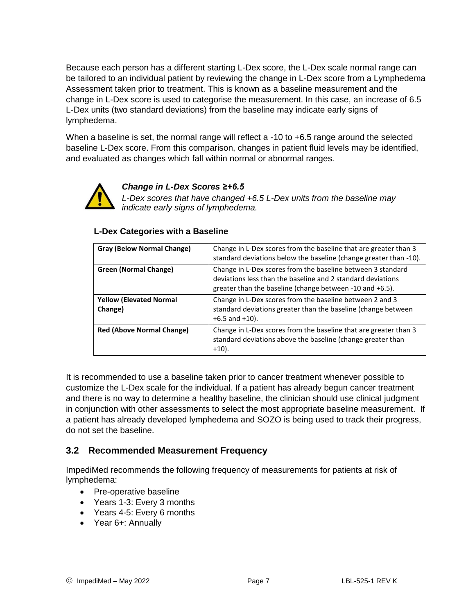Because each person has a different starting L-Dex score, the L-Dex scale normal range can be tailored to an individual patient by reviewing the change in L-Dex score from a Lymphedema Assessment taken prior to treatment. This is known as a baseline measurement and the change in L-Dex score is used to categorise the measurement. In this case, an increase of 6.5 L-Dex units (two standard deviations) from the baseline may indicate early signs of lymphedema.

When a baseline is set, the normal range will reflect a -10 to +6.5 range around the selected baseline L-Dex score. From this comparison, changes in patient fluid levels may be identified, and evaluated as changes which fall within normal or abnormal ranges.



#### *Change in L-Dex Scores ≥+6.5*

*L-Dex scores that have changed +6.5 L-Dex units from the baseline may indicate early signs of lymphedema.* 

#### **L-Dex Categories with a Baseline**

| Gray (Below Normal Change)                | Change in L-Dex scores from the baseline that are greater than 3<br>standard deviations below the baseline (change greater than -10).                                                  |
|-------------------------------------------|----------------------------------------------------------------------------------------------------------------------------------------------------------------------------------------|
| <b>Green (Normal Change)</b>              | Change in L-Dex scores from the baseline between 3 standard<br>deviations less than the baseline and 2 standard deviations<br>greater than the baseline (change between -10 and +6.5). |
| <b>Yellow (Elevated Normal</b><br>Change) | Change in L-Dex scores from the baseline between 2 and 3<br>standard deviations greater than the baseline (change between<br>$+6.5$ and $+10$ ).                                       |
| <b>Red (Above Normal Change)</b>          | Change in L-Dex scores from the baseline that are greater than 3<br>standard deviations above the baseline (change greater than<br>$+10$ ).                                            |

It is recommended to use a baseline taken prior to cancer treatment whenever possible to customize the L-Dex scale for the individual. If a patient has already begun cancer treatment and there is no way to determine a healthy baseline, the clinician should use clinical judgment in conjunction with other assessments to select the most appropriate baseline measurement. If a patient has already developed lymphedema and SOZO is being used to track their progress, do not set the baseline.

## **3.2 Recommended Measurement Frequency**

ImpediMed recommends the following frequency of measurements for patients at risk of lymphedema:

- Pre-operative baseline
- Years 1-3: Every 3 months
- Years 4-5: Every 6 months
- Year 6+: Annually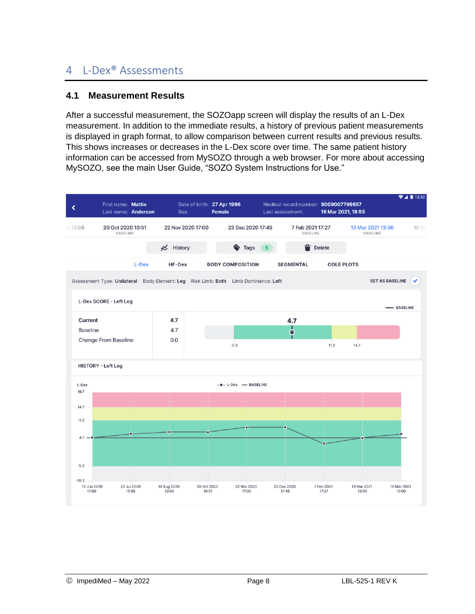# 4 L-Dex® Assessments

## **4.1 Measurement Results**

After a successful measurement, the SOZOapp screen will display the results of an L-Dex measurement. In addition to the immediate results, a history of previous patient measurements is displayed in graph format, to allow comparison between current results and previous results. This shows increases or decreases in the L-Dex score over time. The same patient history information can be accessed from MySOZO through a web browser. For more about accessing MySOZO, see the main User Guide, "SOZO System Instructions for Use."